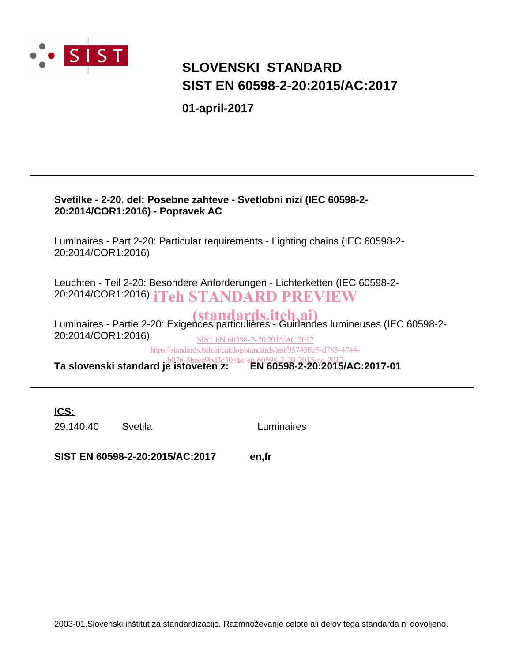

## **SIST EN 60598-2-20:2015/AC:2017 SLOVENSKI STANDARD**

**01-april-2017**

### **Svetilke - 2-20. del: Posebne zahteve - Svetlobni nizi (IEC 60598-2- 20:2014/COR1:2016) - Popravek AC**

Luminaires - Part 2-20: Particular requirements - Lighting chains (IEC 60598-2- 20:2014/COR1:2016)

Leuchten - Teil 2-20: Besondere Anforderungen - Lichterketten (IEC 60598-2- 20:2014/COR1:2016) iTeh STANDARD PREVIEW

Luminaires - Partie 2-20: Exigences particulières - Guirlandes lumineuses (IEC 60598-2- (standards.iteh.ai) 20:2014/COR1:2016) **Ta slovenski standard je istoveten z: EN 60598-2-20:2015/AC:2017-01** b076-5baec9bd3c30/sist-en-60598-2-20-2015-ac-2017SIST EN 60598-2-20:2015/AC:2017 https://standards.iteh.ai/catalog/standards/sist/957450c5-d785-4744-

**ICS:**

29.140.40 Svetila Luminaires

**SIST EN 60598-2-20:2015/AC:2017 en,fr**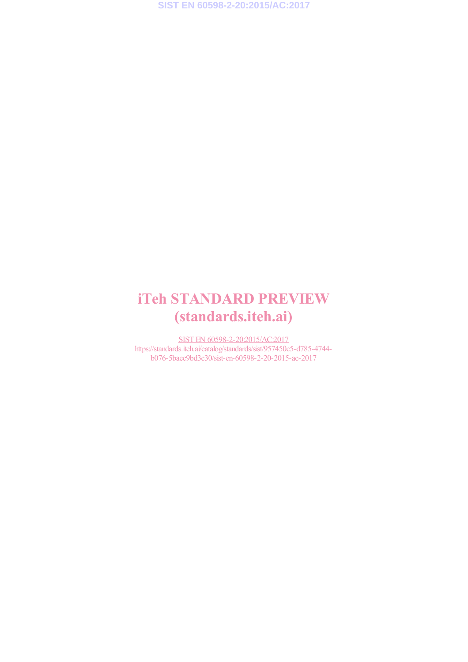**SIST EN 60598-2-20:2015/AC:2017**

## iTeh STANDARD PREVIEW (standards.iteh.ai)

SIST EN 60598-2-20:2015/AC:2017 https://standards.iteh.ai/catalog/standards/sist/957450c5-d785-4744 b076-5baec9bd3c30/sist-en-60598-2-20-2015-ac-2017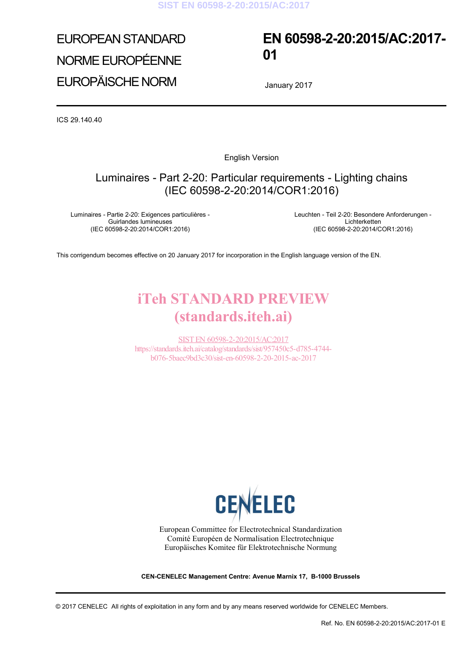# EUROPEAN STANDARD NORME EUROPÉENNE EUROPÄISCHE NORM

## **EN 60598-2-20:2015/AC:2017- 01**

January 2017

ICS 29.140.40

English Version

### Luminaires - Part 2-20: Particular requirements - Lighting chains (IEC 60598-2-20:2014/COR1:2016)

Luminaires - Partie 2-20: Exigences particulières - Guirlandes lumineuses (IEC 60598-2-20:2014/COR1:2016)

 Leuchten - Teil 2-20: Besondere Anforderungen - Lichterketten (IEC 60598-2-20:2014/COR1:2016)

This corrigendum becomes effective on 20 January 2017 for incorporation in the English language version of the EN.

## iTeh STANDARD PREVIEW (standards.iteh.ai)

SIST EN 60598-2-20:2015/AC:2017 https://standards.iteh.ai/catalog/standards/sist/957450c5-d785-4744 b076-5baec9bd3c30/sist-en-60598-2-20-2015-ac-2017



European Committee for Electrotechnical Standardization Comité Européen de Normalisation Electrotechnique Europäisches Komitee für Elektrotechnische Normung

**CEN-CENELEC Management Centre: Avenue Marnix 17, B-1000 Brussels** 

© 2017 CENELEC All rights of exploitation in any form and by any means reserved worldwide for CENELEC Members.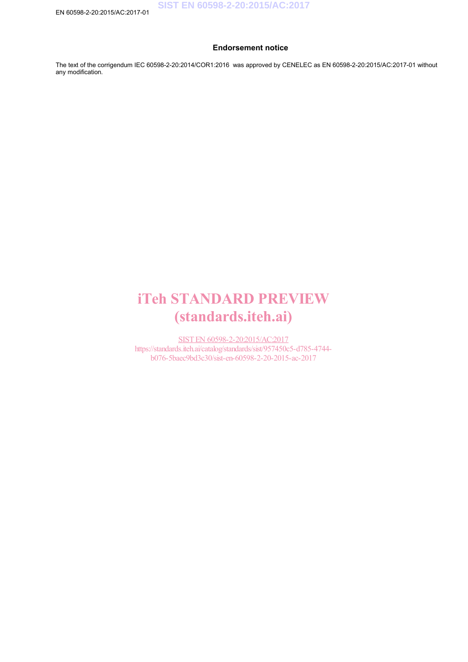#### **Endorsement notice**

The text of the corrigendum IEC 60598-2-20:2014/COR1:2016 was approved by CENELEC as EN 60598-2-20:2015/AC:2017-01 without any modification.

## iTeh STANDARD PREVIEW (standards.iteh.ai)

SIST EN 60598-2-20:2015/AC:2017 https://standards.iteh.ai/catalog/standards/sist/957450c5-d785-4744 b076-5baec9bd3c30/sist-en-60598-2-20-2015-ac-2017